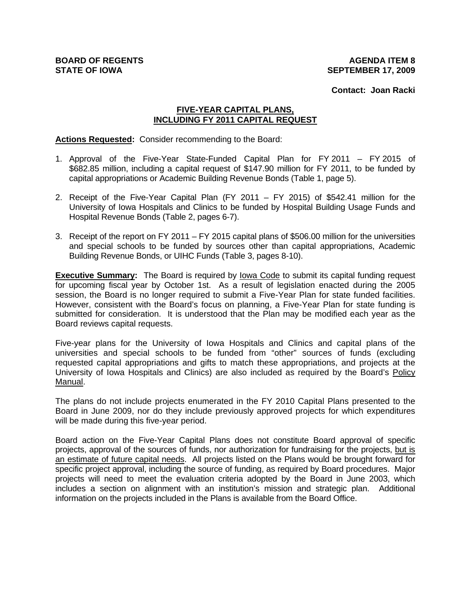**Contact: Joan Racki**

## **FIVE-YEAR CAPITAL PLANS, INCLUDING FY 2011 CAPITAL REQUEST**

**Actions Requested:** Consider recommending to the Board:

- 1. Approval of the Five-Year State-Funded Capital Plan for FY 2011 FY 2015 of \$682.85 million, including a capital request of \$147.90 million for FY 2011, to be funded by capital appropriations or Academic Building Revenue Bonds (Table 1, page 5).
- 2. Receipt of the Five-Year Capital Plan (FY 2011 FY 2015) of \$542.41 million for the University of Iowa Hospitals and Clinics to be funded by Hospital Building Usage Funds and Hospital Revenue Bonds (Table 2, pages 6-7).
- 3. Receipt of the report on FY 2011 FY 2015 capital plans of \$506.00 million for the universities and special schools to be funded by sources other than capital appropriations, Academic Building Revenue Bonds, or UIHC Funds (Table 3, pages 8-10).

**Executive Summary:** The Board is required by Iowa Code to submit its capital funding request for upcoming fiscal year by October 1st. As a result of legislation enacted during the 2005 session, the Board is no longer required to submit a Five-Year Plan for state funded facilities. However, consistent with the Board's focus on planning, a Five-Year Plan for state funding is submitted for consideration. It is understood that the Plan may be modified each year as the Board reviews capital requests.

Five-year plans for the University of Iowa Hospitals and Clinics and capital plans of the universities and special schools to be funded from "other" sources of funds (excluding requested capital appropriations and gifts to match these appropriations, and projects at the University of Iowa Hospitals and Clinics) are also included as required by the Board's Policy Manual.

The plans do not include projects enumerated in the FY 2010 Capital Plans presented to the Board in June 2009, nor do they include previously approved projects for which expenditures will be made during this five-year period.

Board action on the Five-Year Capital Plans does not constitute Board approval of specific projects, approval of the sources of funds, nor authorization for fundraising for the projects, but is an estimate of future capital needs. All projects listed on the Plans would be brought forward for specific project approval, including the source of funding, as required by Board procedures. Major projects will need to meet the evaluation criteria adopted by the Board in June 2003, which includes a section on alignment with an institution's mission and strategic plan. Additional information on the projects included in the Plans is available from the Board Office.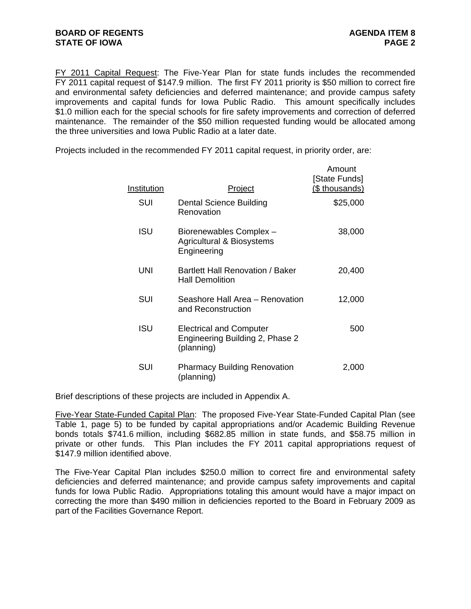FY 2011 Capital Request: The Five-Year Plan for state funds includes the recommended FY 2011 capital request of \$147.9 million. The first FY 2011 priority is \$50 million to correct fire and environmental safety deficiencies and deferred maintenance; and provide campus safety improvements and capital funds for Iowa Public Radio. This amount specifically includes \$1.0 million each for the special schools for fire safety improvements and correction of deferred maintenance. The remainder of the \$50 million requested funding would be allocated among the three universities and Iowa Public Radio at a later date.

Projects included in the recommended FY 2011 capital request, in priority order, are:

| Institution | <u>Project</u>                                                                  | Amount<br>[State Funds]<br>(\$ thousands) |
|-------------|---------------------------------------------------------------------------------|-------------------------------------------|
| SUI         | <b>Dental Science Building</b><br>Renovation                                    | \$25,000                                  |
| <b>ISU</b>  | Biorenewables Complex -<br>Agricultural & Biosystems<br>Engineering             | 38,000                                    |
| UNI         | Bartlett Hall Renovation / Baker<br><b>Hall Demolition</b>                      | 20,400                                    |
| SUI         | Seashore Hall Area - Renovation<br>and Reconstruction                           | 12,000                                    |
| ISU         | <b>Electrical and Computer</b><br>Engineering Building 2, Phase 2<br>(planning) | 500                                       |
| SUI         | <b>Pharmacy Building Renovation</b><br>(planning)                               | 2,000                                     |

Brief descriptions of these projects are included in Appendix A.

Five-Year State-Funded Capital Plan: The proposed Five-Year State-Funded Capital Plan (see Table 1, page 5) to be funded by capital appropriations and/or Academic Building Revenue bonds totals \$741.6 million, including \$682.85 million in state funds, and \$58.75 million in private or other funds. This Plan includes the FY 2011 capital appropriations request of \$147.9 million identified above.

The Five-Year Capital Plan includes \$250.0 million to correct fire and environmental safety deficiencies and deferred maintenance; and provide campus safety improvements and capital funds for Iowa Public Radio. Appropriations totaling this amount would have a major impact on correcting the more than \$490 million in deficiencies reported to the Board in February 2009 as part of the Facilities Governance Report.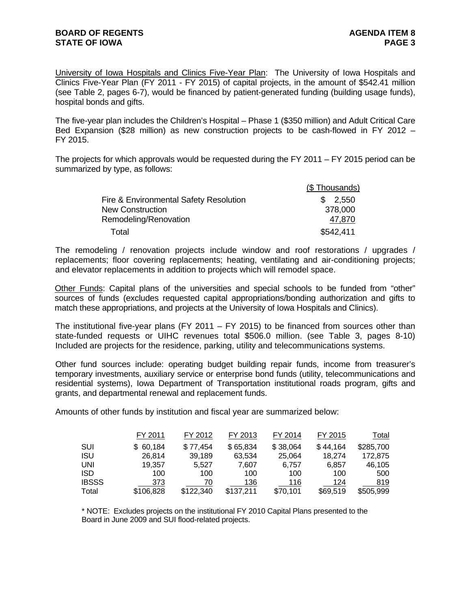University of Iowa Hospitals and Clinics Five-Year Plan: The University of Iowa Hospitals and Clinics Five-Year Plan (FY 2011 - FY 2015) of capital projects, in the amount of \$542.41 million (see Table 2, pages 6-7), would be financed by patient-generated funding (building usage funds), hospital bonds and gifts.

The five-year plan includes the Children's Hospital – Phase 1 (\$350 million) and Adult Critical Care Bed Expansion (\$28 million) as new construction projects to be cash-flowed in FY 2012 – FY 2015.

The projects for which approvals would be requested during the FY 2011 – FY 2015 period can be summarized by type, as follows:

|                                        | (\$Thousands) |
|----------------------------------------|---------------|
| Fire & Environmental Safety Resolution | \$2,550       |
| <b>New Construction</b>                | 378,000       |
| Remodeling/Renovation                  | 47,870        |
| Total                                  | \$542,411     |

The remodeling / renovation projects include window and roof restorations / upgrades / replacements; floor covering replacements; heating, ventilating and air-conditioning projects; and elevator replacements in addition to projects which will remodel space.

Other Funds: Capital plans of the universities and special schools to be funded from "other" sources of funds (excludes requested capital appropriations/bonding authorization and gifts to match these appropriations, and projects at the University of Iowa Hospitals and Clinics).

The institutional five-year plans (FY 2011 – FY 2015) to be financed from sources other than state-funded requests or UIHC revenues total \$506.0 million. (see Table 3, pages 8-10) Included are projects for the residence, parking, utility and telecommunications systems.

Other fund sources include: operating budget building repair funds, income from treasurer's temporary investments, auxiliary service or enterprise bond funds (utility, telecommunications and residential systems), Iowa Department of Transportation institutional roads program, gifts and grants, and departmental renewal and replacement funds.

Amounts of other funds by institution and fiscal year are summarized below:

|              | FY 2011   | FY 2012   | FY 2013   | FY 2014  | FY 2015  | Total     |
|--------------|-----------|-----------|-----------|----------|----------|-----------|
| SUI          | 60,184    | \$77,454  | \$65,834  | \$38,064 | \$44.164 | \$285,700 |
| <b>ISU</b>   | 26,814    | 39,189    | 63,534    | 25,064   | 18.274   | 172,875   |
| <b>UNI</b>   | 19,357    | 5.527     | 7,607     | 6.757    | 6,857    | 46,105    |
| <b>ISD</b>   | 100       | 100       | 100       | 100      | 100      | 500       |
| <b>IBSSS</b> | 373       | 70        | 136       | 116      | 124      | 819       |
| Total        | \$106,828 | \$122,340 | \$137,211 | \$70,101 | \$69,519 | \$505,999 |

\* NOTE: Excludes projects on the institutional FY 2010 Capital Plans presented to the Board in June 2009 and SUI flood-related projects.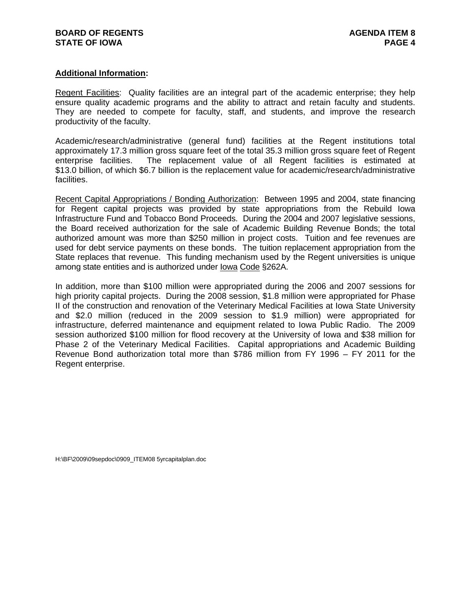## **Additional Information:**

Regent Facilities:Quality facilities are an integral part of the academic enterprise; they help ensure quality academic programs and the ability to attract and retain faculty and students. They are needed to compete for faculty, staff, and students, and improve the research productivity of the faculty.

Academic/research/administrative (general fund) facilities at the Regent institutions total approximately 17.3 million gross square feet of the total 35.3 million gross square feet of Regent enterprise facilities. The replacement value of all Regent facilities is estimated at \$13.0 billion, of which \$6.7 billion is the replacement value for academic/research/administrative facilities.

Recent Capital Appropriations / Bonding Authorization: Between 1995 and 2004, state financing for Regent capital projects was provided by state appropriations from the Rebuild Iowa Infrastructure Fund and Tobacco Bond Proceeds. During the 2004 and 2007 legislative sessions, the Board received authorization for the sale of Academic Building Revenue Bonds; the total authorized amount was more than \$250 million in project costs. Tuition and fee revenues are used for debt service payments on these bonds. The tuition replacement appropriation from the State replaces that revenue. This funding mechanism used by the Regent universities is unique among state entities and is authorized under Iowa Code §262A.

In addition, more than \$100 million were appropriated during the 2006 and 2007 sessions for high priority capital projects. During the 2008 session, \$1.8 million were appropriated for Phase II of the construction and renovation of the Veterinary Medical Facilities at Iowa State University and \$2.0 million (reduced in the 2009 session to \$1.9 million) were appropriated for infrastructure, deferred maintenance and equipment related to Iowa Public Radio. The 2009 session authorized \$100 million for flood recovery at the University of Iowa and \$38 million for Phase 2 of the Veterinary Medical Facilities. Capital appropriations and Academic Building Revenue Bond authorization total more than \$786 million from FY 1996 – FY 2011 for the Regent enterprise.

H:\BF\2009\09sepdoc\0909\_ITEM08 5yrcapitalplan.doc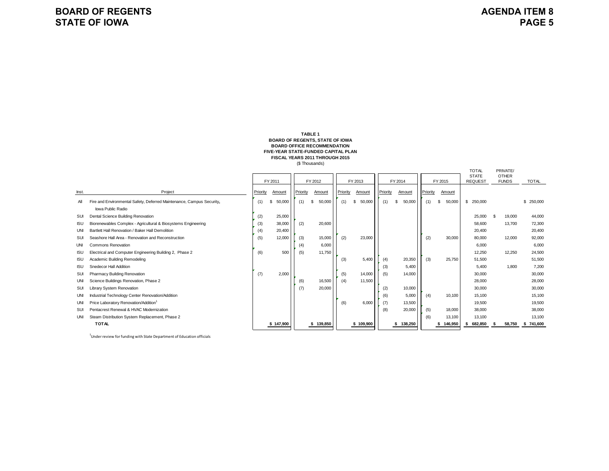#### **BOARD OF REGENTS, STATE OF IOWA FIVE-YEAR STATE-FUNDED CAPITAL PLAN FISCAL YEARS 2011 THROUGH 2015** (\$ Thousands) **TABLE 1 BOARD OFFICE RECOMMENDATION**

|            |                                                                       |          |             |         |          |             |         |          |             |          |  |              |          |                | <b>TOTAL</b><br>PRIVATE/<br><b>STATE</b><br><b>OTHER</b> |              |              |            |
|------------|-----------------------------------------------------------------------|----------|-------------|---------|----------|-------------|---------|----------|-------------|----------|--|--------------|----------|----------------|----------------------------------------------------------|--------------|--------------|------------|
|            |                                                                       | FY 2011  |             | FY 2012 |          |             | FY 2013 |          | FY 2014     |          |  | FY 2015      |          | <b>REQUEST</b> |                                                          | <b>FUNDS</b> | <b>TOTAL</b> |            |
| Inst.      | Project                                                               | Priority | Amount      |         | Priority | Amount      |         | Priority | Amount      | Priority |  | Amount       | Priority | Amount         |                                                          |              |              |            |
| All        | Fire and Environmental Safety, Deferred Maintenance, Campus Security, | (1)      | 50,000<br>S |         | (1)      | 50,000<br>S |         | (1)      | 50,000<br>S | (1)      |  | 50,000<br>S  | (1)      | 50,000<br>\$   | \$ 250,000                                               |              |              | \$ 250,000 |
|            | Iowa Public Radio                                                     |          |             |         |          |             |         |          |             |          |  |              |          |                |                                                          |              |              |            |
| SUI        | Dental Science Building Renovation                                    | (2)      | 25,000      |         |          |             |         |          |             |          |  |              |          |                | 25,000                                                   |              | 19,000       | 44,000     |
| <b>ISU</b> | Biorenewables Complex - Agricultural & Biosystems Engineering         | (3)      | 38,000      |         | (2)      | 20,600      |         |          |             |          |  |              |          |                | 58,600                                                   |              | 13,700       | 72,300     |
| UNI        | Bartlett Hall Renovation / Baker Hall Demolition                      | (4)      | 20,400      |         |          |             |         |          |             |          |  |              |          |                | 20,400                                                   |              |              | 20,400     |
| SUI        | Seashore Hall Area - Renovation and Reconstruction                    | (5)      | 12,000      |         | (3)      | 15,000      |         | (2)      | 23,000      |          |  |              | (2)      | 30,000         | 80,000                                                   |              | 12.000       | 92,000     |
| <b>UNI</b> | <b>Commons Renovation</b>                                             |          |             |         | (4)      | 6,000       |         |          |             |          |  |              |          |                | 6,000                                                    |              |              | 6,000      |
| <b>ISU</b> | Electrical and Computer Engineering Building 2, Phase 2               | (6)      | 500         |         | (5)      | 11,750      |         |          |             |          |  |              |          |                | 12,250                                                   |              | 12,250       | 24,500     |
| <b>ISU</b> | Academic Building Remodeling                                          |          |             |         |          |             |         | (3)      | 5,400       | (4)      |  | 20,350       | (3)      | 25,750         | 51.500                                                   |              |              | 51,500     |
| <b>ISU</b> | Snedecor Hall Addition                                                |          |             |         |          |             |         |          |             | (3)      |  | 5.400        |          |                | 5.400                                                    |              | 1.800        | 7.200      |
| SUI        | Pharmacy Building Renovation                                          | (7)      | 2,000       |         |          |             |         | (5)      | 14,000      | (5)      |  | 14,000       |          |                | 30,000                                                   |              |              | 30,000     |
| <b>UNI</b> | Science Buildings Renovation, Phase 2                                 |          |             |         | (6)      | 16,500      |         | (4)      | 11,500      |          |  |              |          |                | 28,000                                                   |              |              | 28,000     |
| SUI        | <b>Library System Renovation</b>                                      |          |             |         | (7)      | 20,000      |         |          |             | (2)      |  | 10,000       |          |                | 30,000                                                   |              |              | 30,000     |
| UNI        | Industrial Technology Center Renovation/Addition                      |          |             |         |          |             |         |          |             | (6)      |  | 5,000        | (4)      | 10,100         | 15,100                                                   |              |              | 15,100     |
| UNI        | Price Laboratory Renovation/Addition1                                 |          |             |         |          |             |         | (6)      | 6,000       | (7)      |  | 13,500       |          |                | 19,500                                                   |              |              | 19,500     |
| SUI        | Pentacrest Renewal & HVAC Modernization                               |          |             |         |          |             |         |          |             | (8)      |  | 20,000       | (5)      | 18,000         | 38,000                                                   |              |              | 38,000     |
| UNI        | Steam Distribution System Replacement, Phase 2                        |          |             |         |          |             |         |          |             |          |  |              | (6)      | 13,100         | 13,100                                                   |              |              | 13,100     |
|            | <b>TOTAL</b>                                                          |          | \$147,900   |         |          | \$139,850   |         |          | \$109,900   |          |  | 138,250<br>s |          | 146,950        | 682.850<br>Ŝ.                                            |              | 58.750       | \$741.600  |

<sup>1</sup>Under review for funding with State Department of Education officials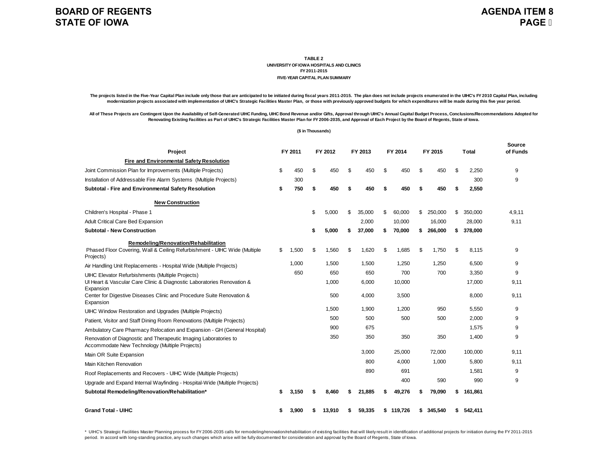### **TABLE 2 UNIVERSITY OF IOWA HOSPITALS AND CLINICSFY 2011-2015FIVE-YEAR CAPITAL PLAN SUMMARY**

The projects listed in the Five-Year Capital Plan include only those that are anticipated to be initiated during fiscal years 2011-2015. The plan does not include projects enumerated in the UIHC's FY 2010 Capital Plan, inc **modernization projects associated with implementation of UIHC's Strategic Facilities Master Plan, or those with previously approved budgets for which expenditures will be made during this five year period.**

All of These Projects are Contingent Upon the Availability of Self-Generated UIHC Funding, UIHC Bond Revenue and/or Gifts, Approval through UIHC's Annual Capital Budget Process, Conclusions/Recommendations Adopted for **Renovating Existing Facilities as Part of UIHC's Strategic Facilities Master Plan for FY 2006-2035, and Approval of Each Project by the Board of Regents, State of Iowa.**

#### **(\$ in Thousands)**

| Project                                                                                                            |    | FY 2011 |    | FY 2012 | FY 2013      | FY 2014 |           |    | FY 2015 | <b>Total</b>  | Source<br>of Funds |  |
|--------------------------------------------------------------------------------------------------------------------|----|---------|----|---------|--------------|---------|-----------|----|---------|---------------|--------------------|--|
| Fire and Environmental Safety Resolution                                                                           |    |         |    |         |              |         |           |    |         |               |                    |  |
| Joint Commission Plan for Improvements (Multiple Projects)                                                         | \$ | 450     | \$ | 450     | \$<br>450    | \$      | 450       | \$ | 450     | \$<br>2,250   | 9                  |  |
| Installation of Addressable Fire Alarm Systems (Multiple Projects)                                                 |    | 300     |    |         |              |         |           |    |         | 300           | 9                  |  |
| Subtotal - Fire and Environmental Safety Resolution                                                                | \$ | 750     | \$ | 450     | \$<br>450    | \$      | 450       | \$ | 450     | \$<br>2.550   |                    |  |
| <b>New Construction</b>                                                                                            |    |         |    |         |              |         |           |    |         |               |                    |  |
| Children's Hospital - Phase 1                                                                                      |    |         | \$ | 5,000   | \$<br>35.000 | \$      | 60,000    | \$ | 250.000 | \$<br>350.000 | 4.9.11             |  |
| Adult Critical Care Bed Expansion                                                                                  |    |         |    |         | 2,000        |         | 10,000    |    | 16,000  | 28,000        | 9,11               |  |
| <b>Subtotal - New Construction</b>                                                                                 |    |         | \$ | 5,000   | 37,000       | \$      | 70,000    | \$ | 266,000 | \$<br>378,000 |                    |  |
| Remodeling/Renovation/Rehabilitation                                                                               |    |         |    |         |              |         |           |    |         |               |                    |  |
| Phased Floor Covering, Wall & Ceiling Refurbishment - UIHC Wide (Multiple<br>Projects)                             | \$ | 1.500   | \$ | 1,560   | \$<br>1.620  | \$      | 1.685     | \$ | 1.750   | \$<br>8.115   | 9                  |  |
| Air Handling Unit Replacements - Hospital Wide (Multiple Projects)                                                 |    | 1.000   |    | 1.500   | 1.500        |         | 1.250     |    | 1.250   | 6.500         | 9                  |  |
| <b>UIHC Elevator Refurbishments (Multiple Projects)</b>                                                            |    | 650     |    | 650     | 650          |         | 700       |    | 700     | 3,350         | 9                  |  |
| Ul Heart & Vascular Care Clinic & Diagnostic Laboratories Renovation &<br>Expansion                                |    |         |    | 1,000   | 6,000        |         | 10,000    |    |         | 17,000        | 9,11               |  |
| Center for Digestive Diseases Clinic and Procedure Suite Renovation &<br>Expansion                                 |    |         |    | 500     | 4,000        |         | 3,500     |    |         | 8,000         | 9,11               |  |
| UIHC Window Restoration and Upgrades (Multiple Projects)                                                           |    |         |    | 1.500   | 1.900        |         | 1.200     |    | 950     | 5,550         | 9                  |  |
| Patient, Visitor and Staff Dining Room Renovations (Multiple Projects)                                             |    |         |    | 500     | 500          |         | 500       |    | 500     | 2,000         | 9                  |  |
| Ambulatory Care Pharmacy Relocation and Expansion - GH (General Hospital)                                          |    |         |    | 900     | 675          |         |           |    |         | 1,575         | 9                  |  |
| Renovation of Diagnostic and Therapeutic Imaging Laboratories to<br>Accommodate New Technology (Multiple Projects) |    |         |    | 350     | 350          |         | 350       |    | 350     | 1,400         | 9                  |  |
| Main OR Suite Expansion                                                                                            |    |         |    |         | 3.000        |         | 25.000    |    | 72.000  | 100.000       | 9,11               |  |
| Main Kitchen Renovation                                                                                            |    |         |    |         | 800          |         | 4,000     |    | 1,000   | 5,800         | 9,11               |  |
| Roof Replacements and Recovers - UIHC Wide (Multiple Projects)                                                     |    |         |    |         | 890          |         | 691       |    |         | 1,581         | 9                  |  |
| Upgrade and Expand Internal Wayfinding - Hospital-Wide (Multiple Projects)                                         |    |         |    |         |              |         | 400       |    | 590     | 990           | 9                  |  |
| Subtotal Remodeling/Renovation/Rehabilitation*                                                                     | S  | 3,150   |    | 8.460   | 21.885       |         | 49,276    |    | 79,090  | \$<br>161,861 |                    |  |
| <b>Grand Total - UIHC</b>                                                                                          | \$ | 3,900   |    | 13,910  | 59,335       |         | \$119,726 | S. | 345.540 | \$<br>542,411 |                    |  |

\* UIHC's Strategic Facilities Master Planning process for FY 2006-2035 calls for remodeling/renovation/rehabilitation of existing facilities that will likely result in identification of additional projects for initiation d period. In accord with long-standing practice, any such changes which arise will be fully documented for consideration and approval by the Board of Regents, State of Iowa.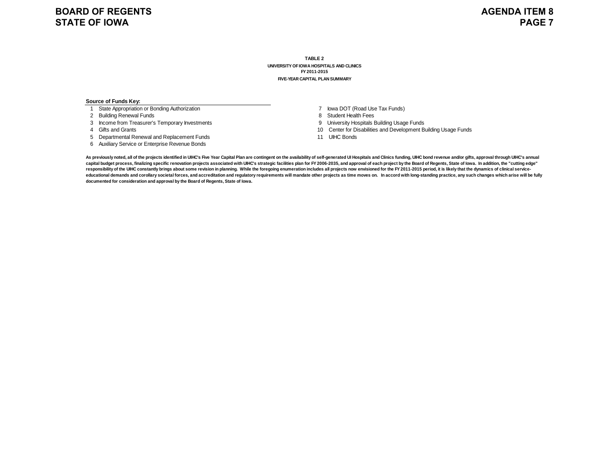### **TABLE 2UNIVERSITY OF IOWA HOSPITALS AND CLINICS FY 2011-2015FIVE-YEAR CAPITAL PLAN SUMMARY**

#### **Source of Funds Key:**

- 1 State Appropriation or Bonding Authorization
- 2 Building Renewal Funds
- 3 Income from Treasurer's Temporary Investments<br>4 Gifts and Grants
- 
- 5 Departmental Renewal and Replacement Funds
- 6 Auxiliary Service or Enterprise Revenue Bonds
- 7 Iowa DOT (Road Use Tax Funds)
- 8 Student Health Fees
- 9 University Hospitals Building Usage Funds
- 10 Center for Disabilities and Development Building Usage Funds
- 11 UIHC Bonds

As previously noted, all of the projects identified in UIHC's Five Year Capital Plan are contingent on the availability of self-generated UI Hospitals and Clinics funding, UIHC bond revenue and/or gifts, approval through U capital budget process, finalizing specific renovation projects associated with UIHC's strategic facilities plan for FY 2006-2035, and approval of each project by the Board of Regents, State of lowa. In addition, the "cutt responsibility of the UIHC constantly brings about some revision in planning. While the foregoing enumeration includes all projects now envisioned for the FY 2011-2015 period, it is likely that the dynamics of clinical ser educational demands and corollary societal forces, and accreditation and regulatory requirements will mandate other projects as time moves on. In accord with long-standing practice, any such changes which arise will be ful **documented for consideration and approval by the Board of Regents, State of Iowa.**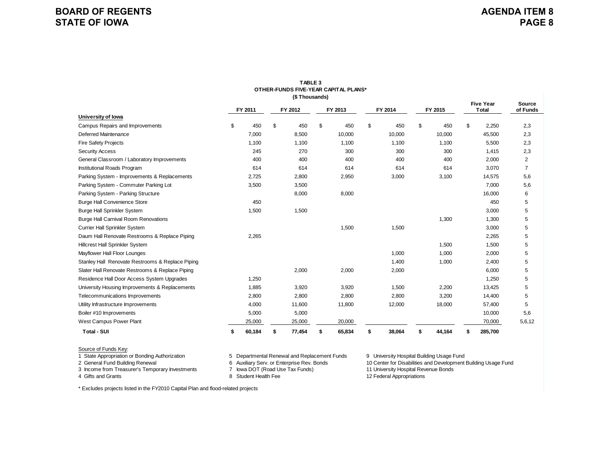| (\$Thousands)                                    |    |         |    |         |    |         |    |         |    |         |    |                                  |                           |
|--------------------------------------------------|----|---------|----|---------|----|---------|----|---------|----|---------|----|----------------------------------|---------------------------|
|                                                  |    | FY 2011 |    | FY 2012 |    | FY 2013 |    | FY 2014 |    | FY 2015 |    | <b>Five Year</b><br><b>Total</b> | <b>Source</b><br>of Funds |
| University of lowa                               |    |         |    |         |    |         |    |         |    |         |    |                                  |                           |
| Campus Repairs and Improvements                  | \$ | 450     | \$ | 450     | \$ | 450     | \$ | 450     | \$ | 450     | \$ | 2,250                            | 2,3                       |
| <b>Deferred Maintenance</b>                      |    | 7,000   |    | 8,500   |    | 10,000  |    | 10,000  |    | 10,000  |    | 45,500                           | 2,3                       |
| <b>Fire Safety Projects</b>                      |    | 1,100   |    | 1,100   |    | 1,100   |    | 1,100   |    | 1,100   |    | 5,500                            | 2,3                       |
| <b>Security Access</b>                           |    | 245     |    | 270     |    | 300     |    | 300     |    | 300     |    | 1,415                            | 2,3                       |
| General Classroom / Laboratory Improvements      |    | 400     |    | 400     |    | 400     |    | 400     |    | 400     |    | 2,000                            | $\overline{2}$            |
| Institutional Roads Program                      |    | 614     |    | 614     |    | 614     |    | 614     |    | 614     |    | 3,070                            | $\overline{7}$            |
| Parking System - Improvements & Replacements     |    | 2,725   |    | 2,800   |    | 2,950   |    | 3,000   |    | 3,100   |    | 14,575                           | 5,6                       |
| Parking System - Commuter Parking Lot            |    | 3,500   |    | 3,500   |    |         |    |         |    |         |    | 7,000                            | 5,6                       |
| Parking System - Parking Structure               |    |         |    | 8,000   |    | 8,000   |    |         |    |         |    | 16,000                           | 6                         |
| <b>Burge Hall Convenience Store</b>              |    | 450     |    |         |    |         |    |         |    |         |    | 450                              | 5                         |
| <b>Burge Hall Sprinkler System</b>               |    | 1,500   |    | 1,500   |    |         |    |         |    |         |    | 3,000                            | 5                         |
| <b>Burge Hall Carnival Room Renovations</b>      |    |         |    |         |    |         |    |         |    | 1,300   |    | 1,300                            | 5                         |
| Currier Hall Sprinkler System                    |    |         |    |         |    | 1,500   |    | 1,500   |    |         |    | 3,000                            | 5                         |
| Daum Hall Renovate Restrooms & Replace Piping    |    | 2,265   |    |         |    |         |    |         |    |         |    | 2,265                            | 5                         |
| Hillcrest Hall Sprinkler System                  |    |         |    |         |    |         |    |         |    | 1,500   |    | 1,500                            | 5                         |
| Mayflower Hall Floor Lounges                     |    |         |    |         |    |         |    | 1,000   |    | 1,000   |    | 2,000                            | 5                         |
| Stanley Hall Renovate Restrooms & Replace Piping |    |         |    |         |    |         |    | 1,400   |    | 1,000   |    | 2,400                            | 5                         |
| Slater Hall Renovate Restrooms & Replace Piping  |    |         |    | 2,000   |    | 2,000   |    | 2,000   |    |         |    | 6,000                            | 5                         |
| Residence Hall Door Access System Upgrades       |    | 1,250   |    |         |    |         |    |         |    |         |    | 1,250                            | 5                         |
| University Housing Improvements & Replacements   |    | 1,885   |    | 3,920   |    | 3,920   |    | 1,500   |    | 2,200   |    | 13,425                           | 5                         |
| Telecommunications Improvements                  |    | 2,800   |    | 2,800   |    | 2,800   |    | 2,800   |    | 3,200   |    | 14,400                           | 5                         |
| Utility Infrastructure Improvements              |    | 4,000   |    | 11,600  |    | 11,800  |    | 12,000  |    | 18,000  |    | 57,400                           | 5                         |
| Boiler #10 Improvements                          |    | 5,000   |    | 5,000   |    |         |    |         |    |         |    | 10,000                           | 5,6                       |
| West Campus Power Plant                          |    | 25,000  |    | 25,000  |    | 20,000  |    |         |    |         |    | 70,000                           | 5,6,12                    |
| <b>Total - SUI</b>                               | \$ | 60,184  |    | 77,454  | \$ | 65,834  | \$ | 38,064  |    | 44,164  |    | 285,700                          |                           |

**TABLE 3OTHER-FUNDS FIVE-YEAR CAPITAL PLANS\***

Source of Funds Key:<br>1 State Appropriation or Bonding Authorization

1 State Appropriation or Bonding Authorization 5 Departmental Renewal and Replacement Funds 2 General Funds 1 Contract Replacement Funds 9 University Hospital Building Renewal 1 Contract Replacement Funds 6 Auxiliary Serv.

3 Income from Treasurer's Temporary Investments

4 Gifts and Grants

8 Student Health Fee

2 General Fund Building Serv. or Enterprise Rev. Bonds 10 Center for Supersity Hospital Building Usage Fund<br>10 Center for Disabilities and Development Building Usage Fund<br>11 University Hospital Revenue Bonds 10 Center Supe 12 Federal Appropriations

\* Excludes projects listed in the FY2010 Capital Plan and flood-related projects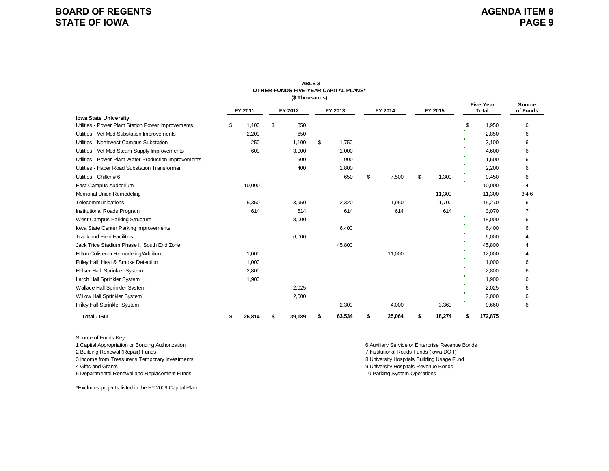|                                                       |    |         | (\$Thousands) | OTHER-FUNDS FIVE-YEAR CAPITAL PLANS* |             |             |    |                                  |                    |  |
|-------------------------------------------------------|----|---------|---------------|--------------------------------------|-------------|-------------|----|----------------------------------|--------------------|--|
|                                                       |    | FY 2011 | FY 2012       | FY 2013                              | FY 2014     | FY 2015     |    | <b>Five Year</b><br><b>Total</b> | Source<br>of Funds |  |
| <b>Iowa State University</b>                          |    |         |               |                                      |             |             |    |                                  |                    |  |
| Utilities - Power Plant Station Power Improvements    | S. | 1,100   | \$<br>850     |                                      |             |             | \$ | 1,950                            | 6                  |  |
| Utilities - Vet Med Substation Improvements           |    | 2,200   | 650           |                                      |             |             | P. | 2,850                            | 6                  |  |
| Utilities - Northwest Campus Substation               |    | 250     | 1,100         | \$<br>1,750                          |             |             |    | 3,100                            | 6                  |  |
| Utilities - Vet Med Steam Supply Improvements         |    | 600     | 3,000         | 1,000                                |             |             | г  | 4,600                            | 6                  |  |
| Utilities - Power Plant Water Production Improvements |    |         | 600           | 900                                  |             |             |    | 1,500                            | 6                  |  |
| Utilities - Haber Road Substation Transformer         |    |         | 400           | 1,800                                |             |             |    | 2,200                            | 6                  |  |
| Utilities - Chiller #6                                |    |         |               | 650                                  | \$<br>7,500 | \$<br>1,300 |    | 9,450                            | 6                  |  |
| East Campus Auditorium                                |    | 10,000  |               |                                      |             |             |    | 10,000                           | 4                  |  |
| Memorial Union Remodeling                             |    |         |               |                                      |             | 11,300      |    | 11,300                           | 3,4,6              |  |
| Telecommunications                                    |    | 5,350   | 3,950         | 2,320                                | 1,950       | 1,700       |    | 15,270                           | 6                  |  |
| Institutional Roads Program                           |    | 614     | 614           | 614                                  | 614         | 614         |    | 3,070                            |                    |  |
| West Campus Parking Structure                         |    |         | 18,000        |                                      |             |             | г  | 18,000                           | 6                  |  |
| lowa State Center Parking Improvements                |    |         |               | 6,400                                |             |             |    | 6,400                            | 6                  |  |
| <b>Track and Field Facilities</b>                     |    |         | 6,000         |                                      |             |             |    | 6,000                            | 4                  |  |
| Jack Trice Stadium Phase II, South End Zone           |    |         |               | 45,800                               |             |             |    | 45,800                           | 4                  |  |
| Hilton Coliseum Remodeling/Addition                   |    | 1,000   |               |                                      | 11,000      |             |    | 12,000                           | 4                  |  |
| Friley Hall Heat & Smoke Detection                    |    | 1,000   |               |                                      |             |             | F. | 1,000                            | 6                  |  |
| Helser Hall Sprinkler System                          |    | 2,800   |               |                                      |             |             | т. | 2,800                            | 6                  |  |
| Larch Hall Sprinkler System                           |    | 1,900   |               |                                      |             |             | r  | 1,900                            | 6                  |  |
| Wallace Hall Sprinkler System                         |    |         | 2,025         |                                      |             |             |    | 2,025                            | 6                  |  |
|                                                       |    |         |               |                                      |             |             |    |                                  |                    |  |

**TABLE 3**

Willow Hall Sprinkler System 2,000 6 2,000 6 2,000 6 2,000 6 2,000 6 2,000 6 2,000 6 2,000 6 2,000 6 2,000 6 2,000 6 2,000 6 2,000 6 2,000 6 2,000 6 2,000 6 2,000 6 2,000 6 2,000 6 2,000 6 2,000 6 2,000 7 2,000 7 2,000 7 2 Friley Hall Sprinkler System 6 and the system control of the system 2,300 4,000 3,360 9,660 6

**\$ 26,814 \$ 39,189 \$ 63,534 \$ 25,064 \$ 18,274 \$ 172,875**

## Source of Funds Key:

 **Total - ISU**

4 Gifts and Grants

5 Departmental Renewal and Replacement Funds 10 Parking System Operations

2 Building Renewal (Repair) Funds 7 Institutional Roads Funds (Iowa DOT) 3 Income from Treasurer's Temporary Investments 8 University Hospitals Building Usage Fund 9 University Hospitals Revenue Bonds 1 Capital Appropriation or Bonding Authorization 6 Auxiliary Service or Enterprise Revenue Bonds

\*Excludes projects listed in the FY 2009 Capital Plan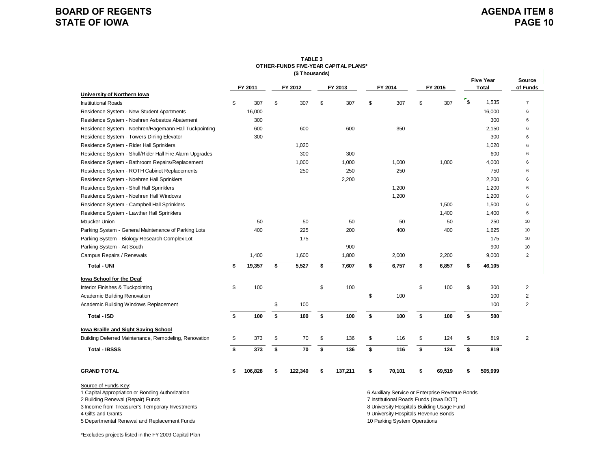# **AGENDA ITEM 8 PAGE 10**

|                                                                                                                                                                                        |    |         | (\$Thousands) | OTHER-FUNDS FIVE-YEAR CAPITAL PLANS* |                                                                                                                                                                                 |              |             |                                  |                    |
|----------------------------------------------------------------------------------------------------------------------------------------------------------------------------------------|----|---------|---------------|--------------------------------------|---------------------------------------------------------------------------------------------------------------------------------------------------------------------------------|--------------|-------------|----------------------------------|--------------------|
|                                                                                                                                                                                        |    | FY 2011 | FY 2012       | FY 2013                              | FY 2014                                                                                                                                                                         | FY 2015      |             | <b>Five Year</b><br><b>Total</b> | Source<br>of Funds |
| University of Northern Iowa                                                                                                                                                            |    |         |               |                                      |                                                                                                                                                                                 |              |             |                                  |                    |
| <b>Institutional Roads</b>                                                                                                                                                             | \$ | 307     | \$<br>307     | \$<br>307                            | \$<br>307                                                                                                                                                                       | \$<br>307    | $r_{\rm s}$ | 1,535                            | $\overline{7}$     |
| Residence System - New Student Apartments                                                                                                                                              |    | 16,000  |               |                                      |                                                                                                                                                                                 |              |             | 16,000                           | 6                  |
| Residence System - Noehren Asbestos Abatement                                                                                                                                          |    | 300     |               |                                      |                                                                                                                                                                                 |              |             | 300                              | 6                  |
| Residence System - Noehren/Hagemann Hall Tuckpointing                                                                                                                                  |    | 600     | 600           | 600                                  | 350                                                                                                                                                                             |              |             | 2,150                            | 6                  |
| Residence System - Towers Dining Elevator                                                                                                                                              |    | 300     |               |                                      |                                                                                                                                                                                 |              |             | 300                              | 6                  |
| Residence System - Rider Hall Sprinklers                                                                                                                                               |    |         | 1,020         |                                      |                                                                                                                                                                                 |              |             | 1,020                            | 6                  |
| Residence System - Shull/Rider Hall Fire Alarm Upgrades                                                                                                                                |    |         | 300           | 300                                  |                                                                                                                                                                                 |              |             | 600                              | 6                  |
| Residence System - Bathroom Repairs/Replacement                                                                                                                                        |    |         | 1,000         | 1,000                                | 1,000                                                                                                                                                                           | 1,000        |             | 4,000                            | 6                  |
| Residence System - ROTH Cabinet Replacements                                                                                                                                           |    |         | 250           | 250                                  | 250                                                                                                                                                                             |              |             | 750                              | 6                  |
| Residence System - Noehren Hall Sprinklers                                                                                                                                             |    |         |               | 2,200                                |                                                                                                                                                                                 |              |             | 2,200                            | 6                  |
| Residence System - Shull Hall Sprinklers                                                                                                                                               |    |         |               |                                      | 1,200                                                                                                                                                                           |              |             | 1,200                            | 6                  |
| Residence System - Noehren Hall Windows                                                                                                                                                |    |         |               |                                      | 1,200                                                                                                                                                                           |              |             | 1,200                            | 6                  |
| Residence System - Campbell Hall Sprinklers                                                                                                                                            |    |         |               |                                      |                                                                                                                                                                                 | 1,500        |             | 1,500                            | 6                  |
| Residence System - Lawther Hall Sprinklers                                                                                                                                             |    |         |               |                                      |                                                                                                                                                                                 | 1,400        |             | 1,400                            | 6                  |
| Maucker Union                                                                                                                                                                          |    | 50      | 50            | 50                                   | 50                                                                                                                                                                              | 50           |             | 250                              | 10                 |
| Parking System - General Maintenance of Parking Lots                                                                                                                                   |    | 400     | 225           | 200                                  | 400                                                                                                                                                                             | 400          |             | 1,625                            | 10                 |
| Parking System - Biology Research Complex Lot                                                                                                                                          |    |         | 175           |                                      |                                                                                                                                                                                 |              |             | 175                              | 10                 |
| Parking System - Art South                                                                                                                                                             |    |         |               | 900                                  |                                                                                                                                                                                 |              |             | 900                              | 10                 |
| Campus Repairs / Renewals                                                                                                                                                              |    | 1,400   | 1,600         | 1,800                                | 2,000                                                                                                                                                                           | 2,200        |             | 9,000                            | $\overline{2}$     |
| <b>Total - UNI</b>                                                                                                                                                                     | \$ | 19,357  | \$<br>5,527   | \$<br>7,607                          | \$<br>6,757                                                                                                                                                                     | \$<br>6,857  | \$          | 46,105                           |                    |
| lowa School for the Deaf                                                                                                                                                               |    |         |               |                                      |                                                                                                                                                                                 |              |             |                                  |                    |
| Interior Finishes & Tuckpointing                                                                                                                                                       | \$ | 100     |               | \$<br>100                            |                                                                                                                                                                                 | \$<br>100    | \$          | 300                              | $\overline{2}$     |
| Academic Building Renovation                                                                                                                                                           |    |         |               |                                      | \$<br>100                                                                                                                                                                       |              |             | 100                              | $\overline{2}$     |
| Academic Building Windows Replacement                                                                                                                                                  |    |         | \$<br>100     |                                      |                                                                                                                                                                                 |              |             | 100                              | $\overline{2}$     |
| <b>Total - ISD</b>                                                                                                                                                                     | \$ | 100     | \$<br>100     | \$<br>100                            | \$<br>100                                                                                                                                                                       | \$<br>100    | \$          | 500                              |                    |
| lowa Braille and Sight Saving School                                                                                                                                                   |    |         |               |                                      |                                                                                                                                                                                 |              |             |                                  |                    |
| Building Deferred Maintenance, Remodeling, Renovation                                                                                                                                  | \$ | 373     | \$<br>70      | \$<br>136                            | \$<br>116                                                                                                                                                                       | \$<br>124    | \$          | 819                              | $\overline{2}$     |
| <b>Total - IBSSS</b>                                                                                                                                                                   | \$ | 373     | \$<br>70      | \$<br>136                            | \$<br>116                                                                                                                                                                       | \$<br>124    | \$          | 819                              |                    |
| <b>GRAND TOTAL</b>                                                                                                                                                                     | \$ | 106,828 | \$<br>122,340 | \$<br>137,211                        | \$<br>70,101                                                                                                                                                                    | \$<br>69,519 | \$          | 505,999                          |                    |
| Source of Funds Key:<br>1 Capital Appropriation or Bonding Authorization<br>2 Building Renewal (Repair) Funds<br>3 Income from Treasurer's Temporary Investments<br>4 Gifts and Grants |    |         |               |                                      | 6 Auxiliary Service or Enterprise Revenue Bonds<br>7 Institutional Roads Funds (lowa DOT)<br>8 University Hospitals Building Usage Fund<br>9 University Hospitals Revenue Bonds |              |             |                                  |                    |

5 Departmental Renewal and Replacement Funds 10 Parking System Operations 10 Parking System Operations

# **TABLE 3**

\*Excludes projects listed in the FY 2009 Capital Plan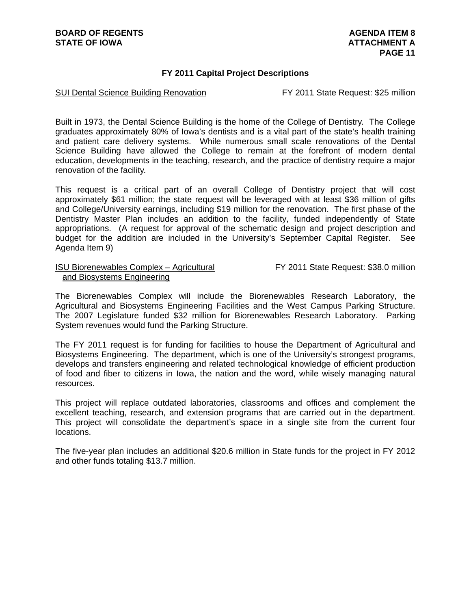## **FY 2011 Capital Project Descriptions**

## SUI Dental Science Building Renovation FY 2011 State Request: \$25 million

Built in 1973, the Dental Science Building is the home of the College of Dentistry. The College graduates approximately 80% of Iowa's dentists and is a vital part of the state's health training and patient care delivery systems. While numerous small scale renovations of the Dental Science Building have allowed the College to remain at the forefront of modern dental education, developments in the teaching, research, and the practice of dentistry require a major renovation of the facility.

This request is a critical part of an overall College of Dentistry project that will cost approximately \$61 million; the state request will be leveraged with at least \$36 million of gifts and College/University earnings, including \$19 million for the renovation. The first phase of the Dentistry Master Plan includes an addition to the facility, funded independently of State appropriations. (A request for approval of the schematic design and project description and budget for the addition are included in the University's September Capital Register. See Agenda Item 9)

## ISU Biorenewables Complex – Agricultural FY 2011 State Request: \$38.0 million and Biosystems Engineering

The Biorenewables Complex will include the Biorenewables Research Laboratory, the Agricultural and Biosystems Engineering Facilities and the West Campus Parking Structure. The 2007 Legislature funded \$32 million for Biorenewables Research Laboratory. Parking System revenues would fund the Parking Structure.

The FY 2011 request is for funding for facilities to house the Department of Agricultural and Biosystems Engineering. The department, which is one of the University's strongest programs, develops and transfers engineering and related technological knowledge of efficient production of food and fiber to citizens in Iowa, the nation and the word, while wisely managing natural resources.

This project will replace outdated laboratories, classrooms and offices and complement the excellent teaching, research, and extension programs that are carried out in the department. This project will consolidate the department's space in a single site from the current four locations.

The five-year plan includes an additional \$20.6 million in State funds for the project in FY 2012 and other funds totaling \$13.7 million.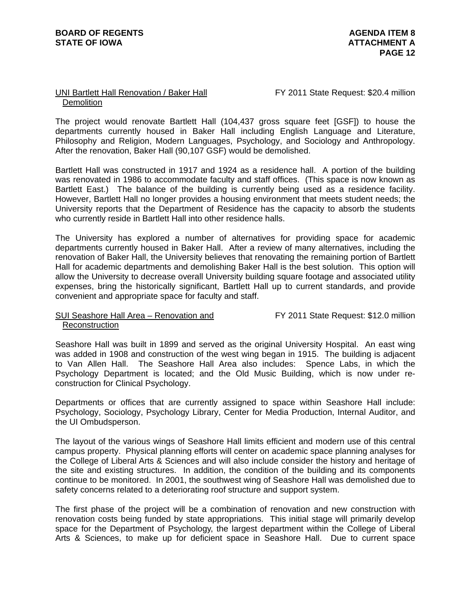## UNI Bartlett Hall Renovation / Baker Hall FY 2011 State Request: \$20.4 million **Demolition**

The project would renovate Bartlett Hall (104,437 gross square feet [GSF]) to house the departments currently housed in Baker Hall including English Language and Literature, Philosophy and Religion, Modern Languages, Psychology, and Sociology and Anthropology. After the renovation, Baker Hall (90,107 GSF) would be demolished.

Bartlett Hall was constructed in 1917 and 1924 as a residence hall. A portion of the building was renovated in 1986 to accommodate faculty and staff offices. (This space is now known as Bartlett East.) The balance of the building is currently being used as a residence facility. However, Bartlett Hall no longer provides a housing environment that meets student needs; the University reports that the Department of Residence has the capacity to absorb the students who currently reside in Bartlett Hall into other residence halls.

The University has explored a number of alternatives for providing space for academic departments currently housed in Baker Hall. After a review of many alternatives, including the renovation of Baker Hall, the University believes that renovating the remaining portion of Bartlett Hall for academic departments and demolishing Baker Hall is the best solution. This option will allow the University to decrease overall University building square footage and associated utility expenses, bring the historically significant, Bartlett Hall up to current standards, and provide convenient and appropriate space for faculty and staff.

## SUI Seashore Hall Area – Renovation and FY 2011 State Request: \$12.0 million Reconstruction

Seashore Hall was built in 1899 and served as the original University Hospital. An east wing was added in 1908 and construction of the west wing began in 1915. The building is adjacent to Van Allen Hall. The Seashore Hall Area also includes: Spence Labs, in which the Psychology Department is located; and the Old Music Building, which is now under reconstruction for Clinical Psychology.

Departments or offices that are currently assigned to space within Seashore Hall include: Psychology, Sociology, Psychology Library, Center for Media Production, Internal Auditor, and the UI Ombudsperson.

The layout of the various wings of Seashore Hall limits efficient and modern use of this central campus property. Physical planning efforts will center on academic space planning analyses for the College of Liberal Arts & Sciences and will also include consider the history and heritage of the site and existing structures. In addition, the condition of the building and its components continue to be monitored. In 2001, the southwest wing of Seashore Hall was demolished due to safety concerns related to a deteriorating roof structure and support system.

The first phase of the project will be a combination of renovation and new construction with renovation costs being funded by state appropriations. This initial stage will primarily develop space for the Department of Psychology, the largest department within the College of Liberal Arts & Sciences, to make up for deficient space in Seashore Hall. Due to current space